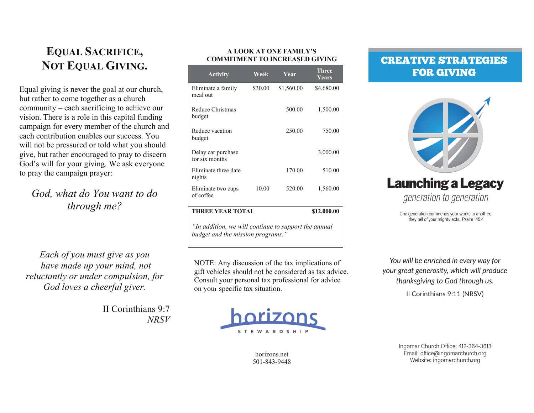# **EQUAL SACRIFICE, NOT EQUAL GIVING.**

Equal giving is never the goal at our church, but rather to come together as a church community – each sacrificing to achieve our vision. There is a role in this capital funding campaign for every member of the church and each contribution enables our success. You will not be pressured or told what you should give, but rather encouraged to pray to discern God's will for your giving. We ask everyone to pray the campaign prayer:

# God, what do You want to do through me?

Each of you must give as you have made up your mind, not reluctantly or under compulsion, for God loves a cheerful giver.

> II Corinthians 9:7  $NRSV$

#### A LOOK AT ONE FAMILY'S **COMMITMENT TO INCREASED GIVING**

| <b>Activity</b>                                                                          | Week    | Year       | <b>Three</b><br><b>Years</b> |  |
|------------------------------------------------------------------------------------------|---------|------------|------------------------------|--|
| Eliminate a family<br>meal out                                                           | \$30.00 | \$1,560.00 | \$4,680.00                   |  |
| Reduce Christmas<br>budget                                                               |         | 500.00     | 1,500.00                     |  |
| Reduce vacation<br>budget                                                                |         | 250.00     | 750.00                       |  |
| Delay car purchase<br>for six months                                                     |         |            | 3,000.00                     |  |
| Eliminate three date<br>nights                                                           |         | 170.00     | 510.00                       |  |
| Eliminate two cups<br>of coffee                                                          | 10.00   | 520.00     | 1,560.00                     |  |
| <b>THREE YEAR TOTAL</b>                                                                  |         |            | \$12,000.00                  |  |
| "In addition, we will continue to support the annual<br>budget and the mission programs. |         |            |                              |  |

NOTE: Any discussion of the tax implications of gift vehicles should not be considered as tax advice. Consult your personal tax professional for advice on your specific tax situation.



horizons.net 501-843-9448

# **CREATIVE STRATEGIES FOR GIVING**



One generation commends your works to another; they tell of your mighty acts. Psalm 145:4

You will be enriched in every way for your great generosity, which will produce thanksgiving to God through us.

II Corinthians 9:11 (NRSV)

Ingomar Church Office: 412-364-3613 Email: office@ingomarchurch.org Website: ingomarchurch.org